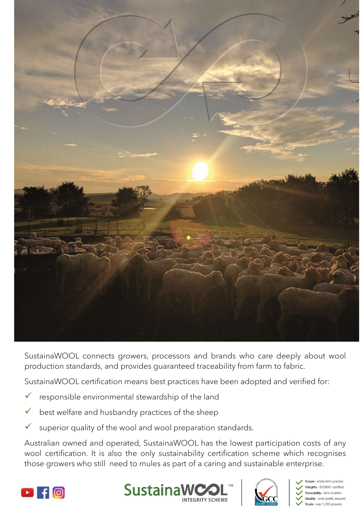

- 
- 
-